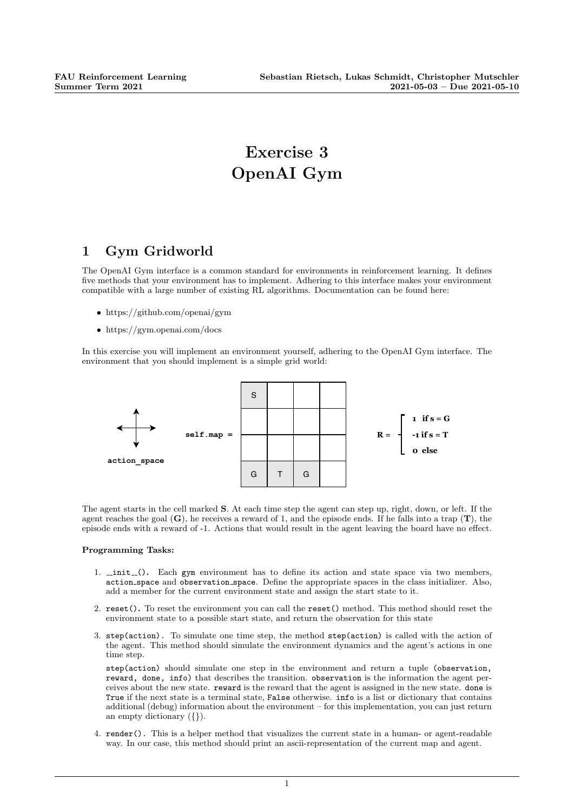# Exercise 3 OpenAI Gym

### 1 Gym Gridworld

The OpenAI Gym interface is a common standard for environments in reinforcement learning. It defines five methods that your environment has to implement. Adhering to this interface makes your environment compatible with a large number of existing RL algorithms. Documentation can be found here:

- https://github.com/openai/gym
- https://gym.openai.com/docs

In this exercise you will implement an environment yourself, adhering to the OpenAI Gym interface. The environment that you should implement is a simple grid world:



The agent starts in the cell marked S. At each time step the agent can step up, right, down, or left. If the agent reaches the goal  $(G)$ , he receives a reward of 1, and the episode ends. If he falls into a trap  $(T)$ , the episode ends with a reward of -1. Actions that would result in the agent leaving the board have no effect.

#### Programming Tasks:

- 1. \_init\_(). Each gym environment has to define its action and state space via two members, action space and observation space. Define the appropriate spaces in the class initializer. Also, add a member for the current environment state and assign the start state to it.
- 2. reset(). To reset the environment you can call the reset() method. This method should reset the environment state to a possible start state, and return the observation for this state
- 3. step(action). To simulate one time step, the method step(action) is called with the action of the agent. This method should simulate the environment dynamics and the agent's actions in one time step.

step(action) should simulate one step in the environment and return a tuple (observation, reward, done, info) that describes the transition. observation is the information the agent perceives about the new state. reward is the reward that the agent is assigned in the new state. done is True if the next state is a terminal state, False otherwise. info is a list or dictionary that contains additional (debug) information about the environment – for this implementation, you can just return an empty dictionary ({}).

4. render(). This is a helper method that visualizes the current state in a human- or agent-readable way. In our case, this method should print an ascii-representation of the current map and agent.